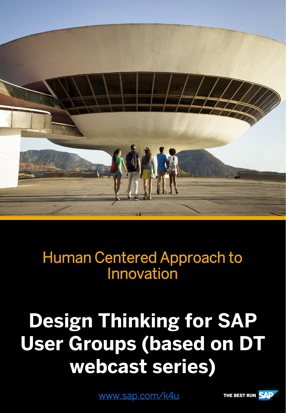

Human Centered Approach to Innovation

# **Design Thinking for SAP User Groups (based on DT webcast series)**

[www.sap.com/k4u](http://www.sap.com/k4u)

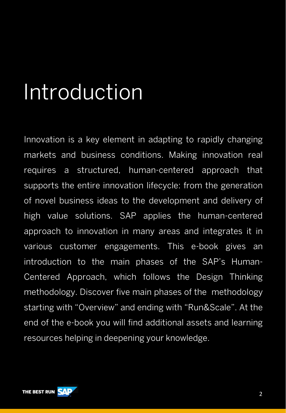# Introduction

Innovation is a key element in adapting to rapidly changing markets and business conditions. Making innovation real requires a structured, human-centered approach that supports the entire innovation lifecycle: from the generation of novel business ideas to the development and delivery of high value solutions. SAP applies the human-centered approach to innovation in many areas and integrates it in various customer engagements. This e-book gives an introduction to the main phases of the SAP's Human-Centered Approach, which follows the Design Thinking methodology. Discover five main phases of the methodology starting with "Overview" and ending with "Run&Scale". At the end of the e-book you will find additional assets and learning resources helping in deepening your knowledge.

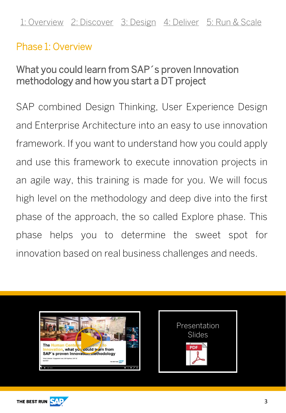### <span id="page-2-0"></span>Phase 1: Overview

# What you could learn from SAP´s proven Innovation methodology and how you start a DT project

SAP combined Design Thinking, User Experience Design and Enterprise Architecture into an easy to use innovation framework. If you want to understand how you could apply and use this framework to execute innovation projects in an agile way, this training is made for you. We will focus high level on the methodology and deep dive into the first phase of the approach, the so called Explore phase. This phase helps you to determine the sweet spot for innovation based on real business challenges and needs.





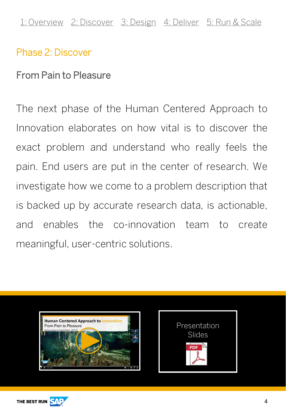#### <span id="page-3-0"></span>Phase 2: Discover

#### From Pain to Pleasure

The next phase of the Human Centered Approach to Innovation elaborates on how vital is to discover the exact problem and understand who really feels the pain. End users are put in the center of research. We investigate how we come to a problem description that is backed up by accurate research data, is actionable, and enables the co-innovation team to create meaningful, user-centric solutions.





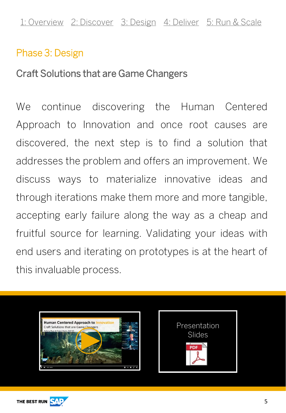### <span id="page-4-0"></span>Phase 3: Design

#### Craft Solutions that are Game Changers

We continue discovering the Human Centered Approach to Innovation and once root causes are discovered, the next step is to find a solution that addresses the problem and offers an improvement. We discuss ways to materialize innovative ideas and through iterations make them more and more tangible, accepting early failure along the way as a cheap and fruitful source for learning. Validating your ideas with end users and iterating on prototypes is at the heart of this invaluable process.





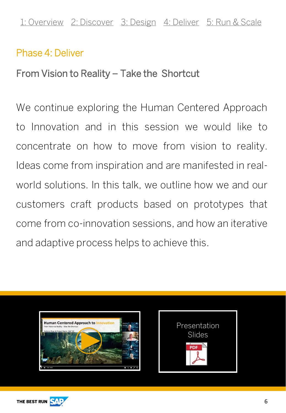#### <span id="page-5-0"></span>Phase 4: Deliver

From Vision to Reality – Take the Shortcut

We continue exploring the Human Centered Approach to Innovation and in this session we would like to concentrate on how to move from vision to reality. Ideas come from inspiration and are manifested in realworld solutions. In this talk, we outline how we and our customers craft products based on prototypes that come from co-innovation sessions, and how an iterative and adaptive process helps to achieve this.





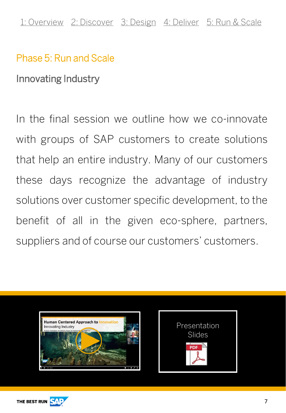# <span id="page-6-0"></span>Phase 5: Run and Scale

Innovating Industry

In the final session we outline how we co-innovate with groups of SAP customers to create solutions that help an entire industry. Many of our customers these days recognize the advantage of industry solutions over customer specific development, to the benefit of all in the given eco-sphere, partners, suppliers and of course our customers' customers.





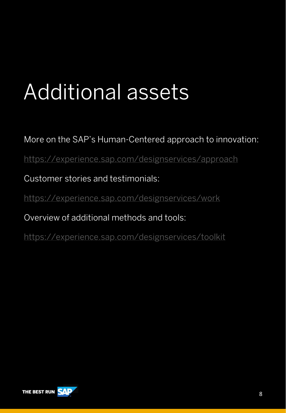# Additional assets

More on the SAP's Human-Centered approach to innovation:

<https://experience.sap.com/designservices/approach>

Customer stories and testimonials:

<https://experience.sap.com/designservices/work>

Overview of additional methods and tools:

<https://experience.sap.com/designservices/toolkit>